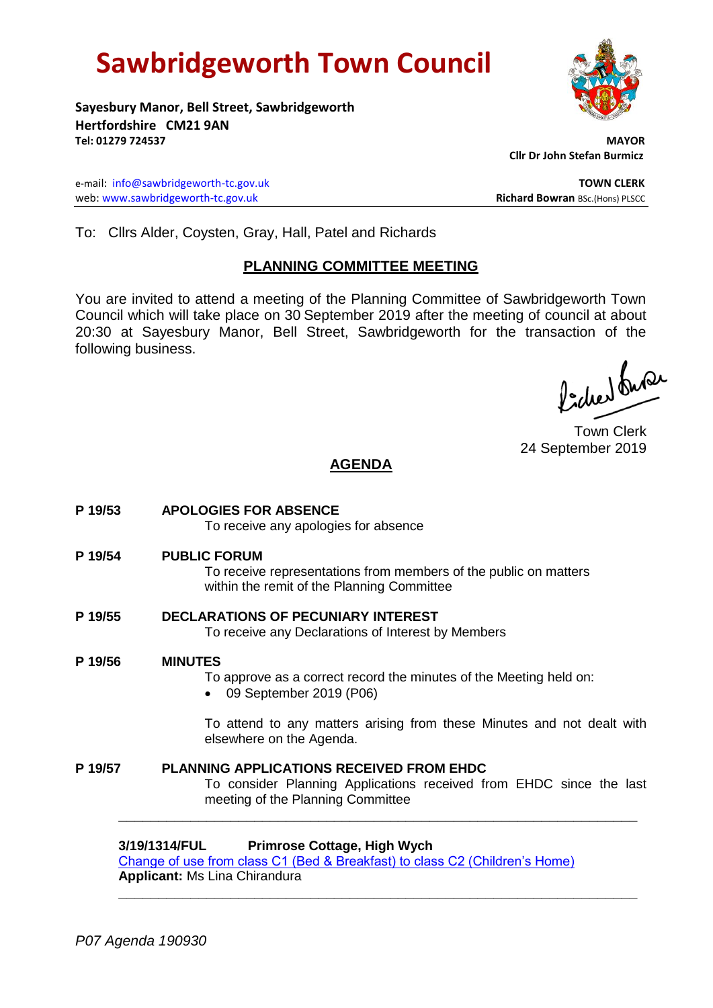# **Sawbridgeworth Town Council**



**Sayesbury Manor, Bell Street, Sawbridgeworth Hertfordshire CM21 9AN Tel: 01279 724537 MAYOR**

e-mail: [info@sawbridgeworth-tc.gov.uk](mailto:info@sawbridgeworth-tc.gov.uk) **TOWN CLERK** web: www.sawbridgeworth-tc.gov.uk<br> **Richard Bowran** BSc.(Hons) PLSCC

 **Cllr Dr John Stefan Burmicz**

To: Cllrs Alder, Coysten, Gray, Hall, Patel and Richards

## **PLANNING COMMITTEE MEETING**

You are invited to attend a meeting of the Planning Committee of Sawbridgeworth Town Council which will take place on 30 September 2019 after the meeting of council at about 20:30 at Sayesbury Manor, Bell Street, Sawbridgeworth for the transaction of the following business.

fidee buse

Town Clerk 24 September 2019

## **AGENDA**

- **P 19/53 APOLOGIES FOR ABSENCE** To receive any apologies for absence **P 19/54 PUBLIC FORUM** To receive representations from members of the public on matters within the remit of the Planning Committee **P 19/55 DECLARATIONS OF PECUNIARY INTEREST** To receive any Declarations of Interest by Members **P 19/56 MINUTES** To approve as a correct record the minutes of the Meeting held on:
	-
	- 09 September 2019 (P06)

To attend to any matters arising from these Minutes and not dealt with elsewhere on the Agenda.

**P 19/57 PLANNING APPLICATIONS RECEIVED FROM EHDC** To consider Planning Applications received from EHDC since the last meeting of the Planning Committee

**\_\_\_\_\_\_\_\_\_\_\_\_\_\_\_\_\_\_\_\_\_\_\_\_\_\_\_\_\_\_\_\_\_\_\_\_\_\_\_\_\_\_\_\_\_\_\_\_\_\_\_\_\_\_\_\_\_\_\_\_\_\_\_\_\_**

**\_\_\_\_\_\_\_\_\_\_\_\_\_\_\_\_\_\_\_\_\_\_\_\_\_\_\_\_\_\_\_\_\_\_\_\_\_\_\_\_\_\_\_\_\_\_\_\_\_\_\_\_\_\_\_\_\_\_\_\_\_\_\_\_\_**

### **3/19/1314/FUL Primrose Cottage, High Wych**

[Change of use from class C1 \(Bed & Breakfast\) to class C2 \(Children's Home\)](https://publicaccess.eastherts.gov.uk/online-applications/applicationDetails.do?activeTab=documents&keyVal=PTFSU2GLJWS00) **Applicant:** Ms Lina Chirandura